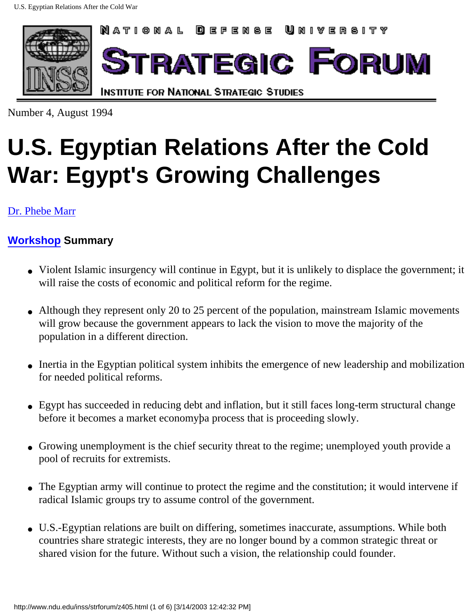

Number 4, August 1994

# **U.S. Egyptian Relations After the Cold War: Egypt's Growing Challenges**

[Dr. Phebe Marr](http://www.ndu.edu/ndu/inss/staff/marr.html)

#### **[Workshop](http://www.ndu.edu/inss/strforum/z402.html) Summary**

- Violent Islamic insurgency will continue in Egypt, but it is unlikely to displace the government; it will raise the costs of economic and political reform for the regime.
- Although they represent only 20 to 25 percent of the population, mainstream Islamic movements will grow because the government appears to lack the vision to move the majority of the population in a different direction.
- Inertia in the Egyptian political system inhibits the emergence of new leadership and mobilization for needed political reforms.
- Egypt has succeeded in reducing debt and inflation, but it still faces long-term structural change before it becomes a market economyþa process that is proceeding slowly.
- Growing unemployment is the chief security threat to the regime; unemployed youth provide a pool of recruits for extremists.
- The Egyptian army will continue to protect the regime and the constitution; it would intervene if radical Islamic groups try to assume control of the government.
- U.S.-Egyptian relations are built on differing, sometimes inaccurate, assumptions. While both countries share strategic interests, they are no longer bound by a common strategic threat or shared vision for the future. Without such a vision, the relationship could founder.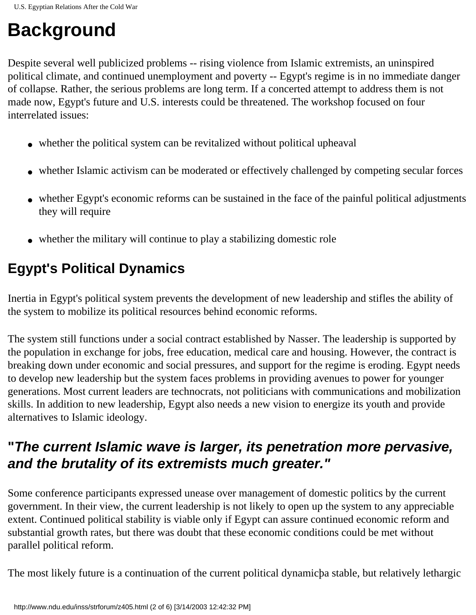## **Background**

Despite several well publicized problems -- rising violence from Islamic extremists, an uninspired political climate, and continued unemployment and poverty -- Egypt's regime is in no immediate danger of collapse. Rather, the serious problems are long term. If a concerted attempt to address them is not made now, Egypt's future and U.S. interests could be threatened. The workshop focused on four interrelated issues:

- whether the political system can be revitalized without political upheaval
- whether Islamic activism can be moderated or effectively challenged by competing secular forces
- whether Egypt's economic reforms can be sustained in the face of the painful political adjustments they will require
- whether the military will continue to play a stabilizing domestic role

### **Egypt's Political Dynamics**

Inertia in Egypt's political system prevents the development of new leadership and stifles the ability of the system to mobilize its political resources behind economic reforms.

The system still functions under a social contract established by Nasser. The leadership is supported by the population in exchange for jobs, free education, medical care and housing. However, the contract is breaking down under economic and social pressures, and support for the regime is eroding. Egypt needs to develop new leadership but the system faces problems in providing avenues to power for younger generations. Most current leaders are technocrats, not politicians with communications and mobilization skills. In addition to new leadership, Egypt also needs a new vision to energize its youth and provide alternatives to Islamic ideology.

#### **"The current Islamic wave is larger, its penetration more pervasive, and the brutality of its extremists much greater."**

Some conference participants expressed unease over management of domestic politics by the current government. In their view, the current leadership is not likely to open up the system to any appreciable extent. Continued political stability is viable only if Egypt can assure continued economic reform and substantial growth rates, but there was doubt that these economic conditions could be met without parallel political reform.

The most likely future is a continuation of the current political dynamicþa stable, but relatively lethargic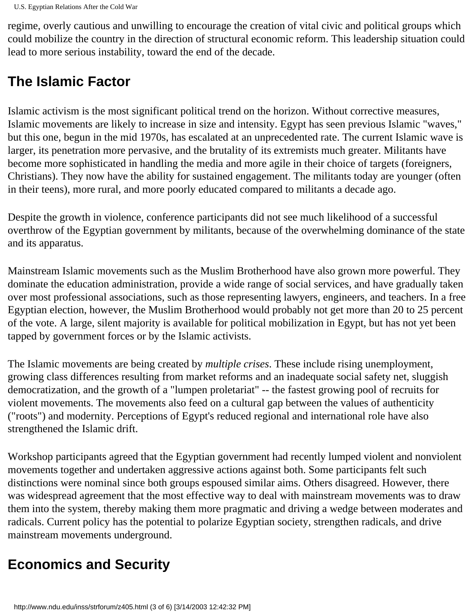regime, overly cautious and unwilling to encourage the creation of vital civic and political groups which could mobilize the country in the direction of structural economic reform. This leadership situation could lead to more serious instability, toward the end of the decade.

#### **The Islamic Factor**

Islamic activism is the most significant political trend on the horizon. Without corrective measures, Islamic movements are likely to increase in size and intensity. Egypt has seen previous Islamic "waves," but this one, begun in the mid 1970s, has escalated at an unprecedented rate. The current Islamic wave is larger, its penetration more pervasive, and the brutality of its extremists much greater. Militants have become more sophisticated in handling the media and more agile in their choice of targets (foreigners, Christians). They now have the ability for sustained engagement. The militants today are younger (often in their teens), more rural, and more poorly educated compared to militants a decade ago.

Despite the growth in violence, conference participants did not see much likelihood of a successful overthrow of the Egyptian government by militants, because of the overwhelming dominance of the state and its apparatus.

Mainstream Islamic movements such as the Muslim Brotherhood have also grown more powerful. They dominate the education administration, provide a wide range of social services, and have gradually taken over most professional associations, such as those representing lawyers, engineers, and teachers. In a free Egyptian election, however, the Muslim Brotherhood would probably not get more than 20 to 25 percent of the vote. A large, silent majority is available for political mobilization in Egypt, but has not yet been tapped by government forces or by the Islamic activists.

The Islamic movements are being created by *multiple crises*. These include rising unemployment, growing class differences resulting from market reforms and an inadequate social safety net, sluggish democratization, and the growth of a "lumpen proletariat" -- the fastest growing pool of recruits for violent movements. The movements also feed on a cultural gap between the values of authenticity ("roots") and modernity. Perceptions of Egypt's reduced regional and international role have also strengthened the Islamic drift.

Workshop participants agreed that the Egyptian government had recently lumped violent and nonviolent movements together and undertaken aggressive actions against both. Some participants felt such distinctions were nominal since both groups espoused similar aims. Others disagreed. However, there was widespread agreement that the most effective way to deal with mainstream movements was to draw them into the system, thereby making them more pragmatic and driving a wedge between moderates and radicals. Current policy has the potential to polarize Egyptian society, strengthen radicals, and drive mainstream movements underground.

#### **Economics and Security**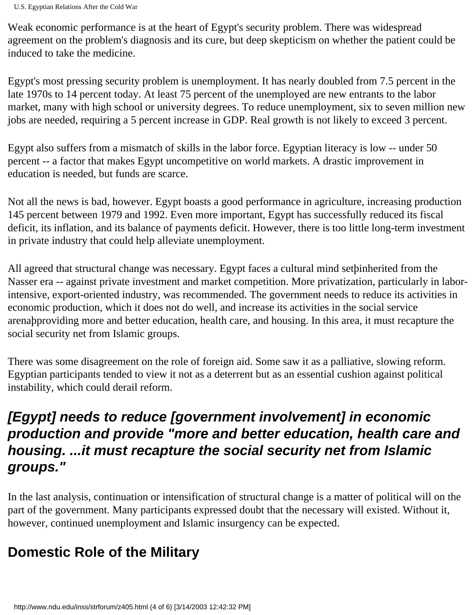Weak economic performance is at the heart of Egypt's security problem. There was widespread agreement on the problem's diagnosis and its cure, but deep skepticism on whether the patient could be induced to take the medicine.

Egypt's most pressing security problem is unemployment. It has nearly doubled from 7.5 percent in the late 1970s to 14 percent today. At least 75 percent of the unemployed are new entrants to the labor market, many with high school or university degrees. To reduce unemployment, six to seven million new jobs are needed, requiring a 5 percent increase in GDP. Real growth is not likely to exceed 3 percent.

Egypt also suffers from a mismatch of skills in the labor force. Egyptian literacy is low -- under 50 percent -- a factor that makes Egypt uncompetitive on world markets. A drastic improvement in education is needed, but funds are scarce.

Not all the news is bad, however. Egypt boasts a good performance in agriculture, increasing production 145 percent between 1979 and 1992. Even more important, Egypt has successfully reduced its fiscal deficit, its inflation, and its balance of payments deficit. However, there is too little long-term investment in private industry that could help alleviate unemployment.

All agreed that structural change was necessary. Egypt faces a cultural mind setþinherited from the Nasser era -- against private investment and market competition. More privatization, particularly in laborintensive, export-oriented industry, was recommended. The government needs to reduce its activities in economic production, which it does not do well, and increase its activities in the social service arenaþproviding more and better education, health care, and housing. In this area, it must recapture the social security net from Islamic groups.

There was some disagreement on the role of foreign aid. Some saw it as a palliative, slowing reform. Egyptian participants tended to view it not as a deterrent but as an essential cushion against political instability, which could derail reform.

#### **[Egypt] needs to reduce [government involvement] in economic production and provide "more and better education, health care and housing. ...it must recapture the social security net from Islamic groups."**

In the last analysis, continuation or intensification of structural change is a matter of political will on the part of the government. Many participants expressed doubt that the necessary will existed. Without it, however, continued unemployment and Islamic insurgency can be expected.

#### **Domestic Role of the Military**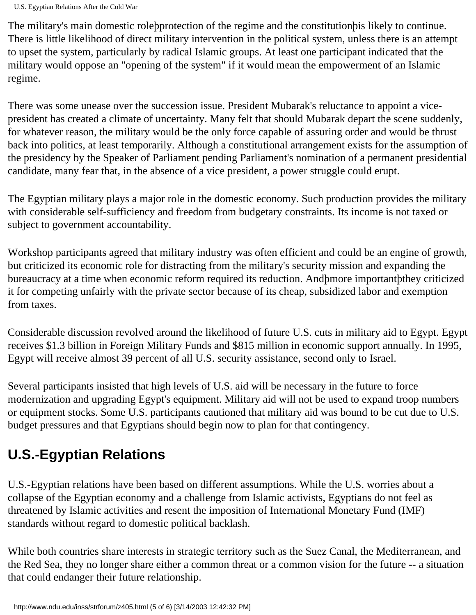The military's main domestic roleþprotection of the regime and the constitutionþis likely to continue. There is little likelihood of direct military intervention in the political system, unless there is an attempt to upset the system, particularly by radical Islamic groups. At least one participant indicated that the military would oppose an "opening of the system" if it would mean the empowerment of an Islamic regime.

There was some unease over the succession issue. President Mubarak's reluctance to appoint a vicepresident has created a climate of uncertainty. Many felt that should Mubarak depart the scene suddenly, for whatever reason, the military would be the only force capable of assuring order and would be thrust back into politics, at least temporarily. Although a constitutional arrangement exists for the assumption of the presidency by the Speaker of Parliament pending Parliament's nomination of a permanent presidential candidate, many fear that, in the absence of a vice president, a power struggle could erupt.

The Egyptian military plays a major role in the domestic economy. Such production provides the military with considerable self-sufficiency and freedom from budgetary constraints. Its income is not taxed or subject to government accountability.

Workshop participants agreed that military industry was often efficient and could be an engine of growth, but criticized its economic role for distracting from the military's security mission and expanding the bureaucracy at a time when economic reform required its reduction. Andþmore importantþthey criticized it for competing unfairly with the private sector because of its cheap, subsidized labor and exemption from taxes.

Considerable discussion revolved around the likelihood of future U.S. cuts in military aid to Egypt. Egypt receives \$1.3 billion in Foreign Military Funds and \$815 million in economic support annually. In 1995, Egypt will receive almost 39 percent of all U.S. security assistance, second only to Israel.

Several participants insisted that high levels of U.S. aid will be necessary in the future to force modernization and upgrading Egypt's equipment. Military aid will not be used to expand troop numbers or equipment stocks. Some U.S. participants cautioned that military aid was bound to be cut due to U.S. budget pressures and that Egyptians should begin now to plan for that contingency.

### **U.S.-Egyptian Relations**

U.S.-Egyptian relations have been based on different assumptions. While the U.S. worries about a collapse of the Egyptian economy and a challenge from Islamic activists, Egyptians do not feel as threatened by Islamic activities and resent the imposition of International Monetary Fund (IMF) standards without regard to domestic political backlash.

While both countries share interests in strategic territory such as the Suez Canal, the Mediterranean, and the Red Sea, they no longer share either a common threat or a common vision for the future -- a situation that could endanger their future relationship.